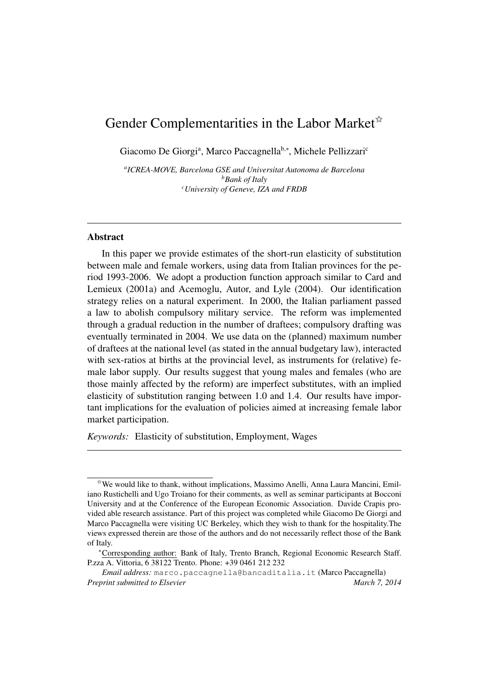# Gender Complementarities in the Labor Market $\mathbb{\hat{R}}$

Giacomo De Giorgiª, Marco Paccagnella<sup>b,∗</sup>, Michele Pellizzari<sup>c</sup>

*a ICREA-MOVE, Barcelona GSE and Universitat Autonoma de Barcelona <sup>b</sup>Bank of Italy <sup>c</sup>University of Geneve, IZA and FRDB*

#### Abstract

In this paper we provide estimates of the short-run elasticity of substitution between male and female workers, using data from Italian provinces for the period 1993-2006. We adopt a production function approach similar to Card and Lemieux (2001a) and Acemoglu, Autor, and Lyle (2004). Our identification strategy relies on a natural experiment. In 2000, the Italian parliament passed a law to abolish compulsory military service. The reform was implemented through a gradual reduction in the number of draftees; compulsory drafting was eventually terminated in 2004. We use data on the (planned) maximum number of draftees at the national level (as stated in the annual budgetary law), interacted with sex-ratios at births at the provincial level, as instruments for (relative) female labor supply. Our results suggest that young males and females (who are those mainly affected by the reform) are imperfect substitutes, with an implied elasticity of substitution ranging between 1.0 and 1.4. Our results have important implications for the evaluation of policies aimed at increasing female labor market participation.

*Keywords:* Elasticity of substitution, Employment, Wages

 $\hat{X}$ We would like to thank, without implications, Massimo Anelli, Anna Laura Mancini, Emiliano Rustichelli and Ugo Troiano for their comments, as well as seminar participants at Bocconi University and at the Conference of the European Economic Association. Davide Crapis provided able research assistance. Part of this project was completed while Giacomo De Giorgi and Marco Paccagnella were visiting UC Berkeley, which they wish to thank for the hospitality.The views expressed therein are those of the authors and do not necessarily reflect those of the Bank of Italy.

<sup>∗</sup>Corresponding author: Bank of Italy, Trento Branch, Regional Economic Research Staff. P.zza A. Vittoria, 6 38122 Trento. Phone: +39 0461 212 232

*Email address:* marco.paccagnella@bancaditalia.it (Marco Paccagnella) *Preprint submitted to Elsevier* March 7, 2014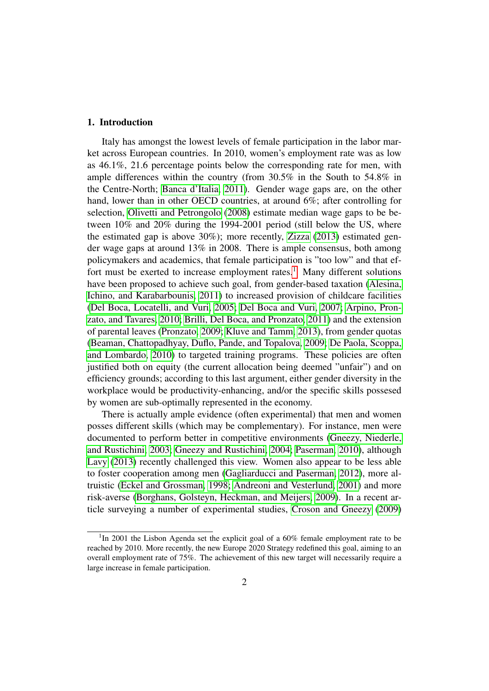# 1. Introduction

Italy has amongst the lowest levels of female participation in the labor market across European countries. In 2010, women's employment rate was as low as 46.1%, 21.6 percentage points below the corresponding rate for men, with ample differences within the country (from 30.5% in the South to 54.8% in the Centre-North; [Banca d'Italia, 2011\)](#page-17-0). Gender wage gaps are, on the other hand, lower than in other OECD countries, at around 6%; after controlling for selection, [Olivetti and Petrongolo](#page-18-0) [\(2008\)](#page-18-0) estimate median wage gaps to be between 10% and 20% during the 1994-2001 period (still below the US, where the estimated gap is above 30%); more recently, [Zizza](#page-18-1) [\(2013\)](#page-18-1) estimated gender wage gaps at around 13% in 2008. There is ample consensus, both among policymakers and academics, that female participation is "too low" and that ef-fort must be exerted to increase employment rates.<sup>[1](#page-1-0)</sup> Many different solutions have been proposed to achieve such goal, from gender-based taxation [\(Alesina,](#page-16-0) [Ichino, and Karabarbounis, 2011\)](#page-16-0) to increased provision of childcare facilities [\(Del Boca, Locatelli, and Vuri, 2005;](#page-17-1) [Del Boca and Vuri, 2007;](#page-17-2) [Arpino, Pron](#page-16-1)[zato, and Tavares, 2010;](#page-16-1) [Brilli, Del Boca, and Pronzato, 2011\)](#page-17-3) and the extension of parental leaves [\(Pronzato, 2009;](#page-18-2) [Kluve and Tamm, 2013\)](#page-18-3), from gender quotas [\(Beaman, Chattopadhyay, Duflo, Pande, and Topalova, 2009;](#page-17-4) [De Paola, Scoppa,](#page-17-5) [and Lombardo, 2010\)](#page-17-5) to targeted training programs. These policies are often justified both on equity (the current allocation being deemed "unfair") and on efficiency grounds; according to this last argument, either gender diversity in the workplace would be productivity-enhancing, and/or the specific skills possesed by women are sub-optimally represented in the economy.

There is actually ample evidence (often experimental) that men and women posses different skills (which may be complementary). For instance, men were documented to perform better in competitive environments [\(Gneezy, Niederle,](#page-18-4) [and Rustichini, 2003;](#page-18-4) [Gneezy and Rustichini, 2004;](#page-18-5) [Paserman, 2010\)](#page-18-6), although [Lavy](#page-18-7) [\(2013\)](#page-18-7) recently challenged this view. Women also appear to be less able to foster cooperation among men [\(Gagliarducci and Paserman, 2012\)](#page-18-8), more altruistic [\(Eckel and Grossman, 1998;](#page-18-9) [Andreoni and Vesterlund, 2001\)](#page-16-2) and more risk-averse [\(Borghans, Golsteyn, Heckman, and Meijers, 2009\)](#page-17-6). In a recent article surveying a number of experimental studies, [Croson and Gneezy](#page-17-7) [\(2009\)](#page-17-7)

<span id="page-1-0"></span><sup>&</sup>lt;sup>1</sup>In 2001 the Lisbon Agenda set the explicit goal of a 60% female employment rate to be reached by 2010. More recently, the new Europe 2020 Strategy redefined this goal, aiming to an overall employment rate of 75%. The achievement of this new target will necessarily require a large increase in female participation.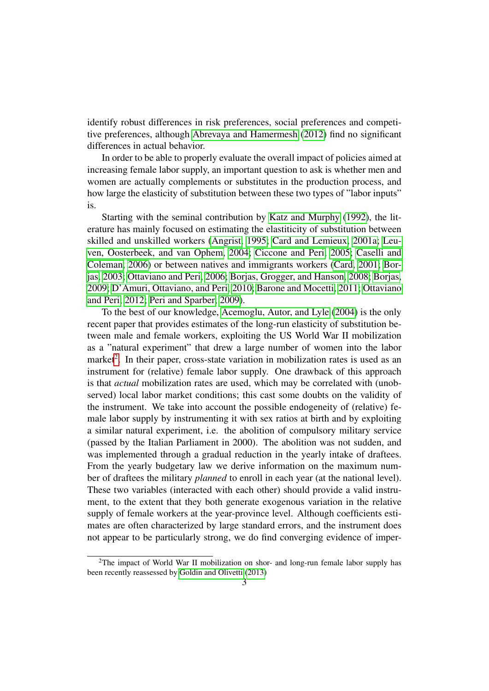identify robust differences in risk preferences, social preferences and competitive preferences, although [Abrevaya and Hamermesh](#page-16-3) [\(2012\)](#page-16-3) find no significant differences in actual behavior.

In order to be able to properly evaluate the overall impact of policies aimed at increasing female labor supply, an important question to ask is whether men and women are actually complements or substitutes in the production process, and how large the elasticity of substitution between these two types of "labor inputs" is.

Starting with the seminal contribution by [Katz and Murphy](#page-18-10) [\(1992\)](#page-18-10), the literature has mainly focused on estimating the elastiticity of substitution between skilled and unskilled workers [\(Angrist, 1995;](#page-16-4) [Card and Lemieux, 2001a;](#page-17-8) [Leu](#page-18-11)[ven, Oosterbeek, and van Ophem, 2004;](#page-18-11) [Ciccone and Peri, 2005;](#page-17-9) [Caselli and](#page-17-10) [Coleman, 2006\)](#page-17-10) or between natives and immigrants workers [\(Card, 2001;](#page-17-11) [Bor](#page-17-12)[jas, 2003;](#page-17-12) [Ottaviano and Peri, 2006;](#page-18-12) [Borjas, Grogger, and Hanson, 2008;](#page-17-13) [Borjas,](#page-17-14) [2009;](#page-17-14) [D'Amuri, Ottaviano, and Peri, 2010;](#page-17-15) [Barone and Mocetti, 2011;](#page-17-16) [Ottaviano](#page-18-13) [and Peri, 2012;](#page-18-13) [Peri and Sparber, 2009\)](#page-18-14).

To the best of our knowledge, [Acemoglu, Autor, and Lyle](#page-16-5) [\(2004\)](#page-16-5) is the only recent paper that provides estimates of the long-run elasticity of substitution between male and female workers, exploiting the US World War II mobilization as a "natural experiment" that drew a large number of women into the labor market<sup>[2](#page-2-0)</sup>. In their paper, cross-state variation in mobilization rates is used as an instrument for (relative) female labor supply. One drawback of this approach is that *actual* mobilization rates are used, which may be correlated with (unobserved) local labor market conditions; this cast some doubts on the validity of the instrument. We take into account the possible endogeneity of (relative) female labor supply by instrumenting it with sex ratios at birth and by exploiting a similar natural experiment, i.e. the abolition of compulsory military service (passed by the Italian Parliament in 2000). The abolition was not sudden, and was implemented through a gradual reduction in the yearly intake of draftees. From the yearly budgetary law we derive information on the maximum number of draftees the military *planned* to enroll in each year (at the national level). These two variables (interacted with each other) should provide a valid instrument, to the extent that they both generate exogenous variation in the relative supply of female workers at the year-province level. Although coefficients estimates are often characterized by large standard errors, and the instrument does not appear to be particularly strong, we do find converging evidence of imper-

<span id="page-2-0"></span><sup>2</sup>The impact of World War II mobilization on shor- and long-run female labor supply has been recently reassessed by [Goldin and Olivetti](#page-18-15) [\(2013\)](#page-18-15)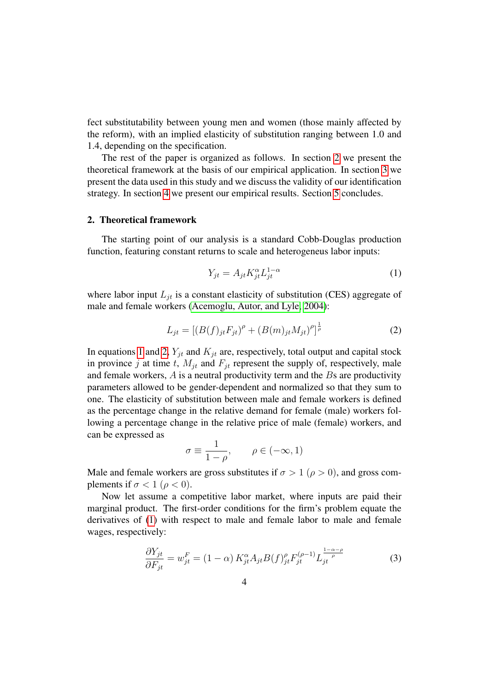fect substitutability between young men and women (those mainly affected by the reform), with an implied elasticity of substitution ranging between 1.0 and 1.4, depending on the specification.

The rest of the paper is organized as follows. In section [2](#page-3-0) we present the theoretical framework at the basis of our empirical application. In section [3](#page-5-0) we present the data used in this study and we discuss the validity of our identification strategy. In section [4](#page-9-0) we present our empirical results. Section [5](#page-15-0) concludes.

### <span id="page-3-0"></span>2. Theoretical framework

The starting point of our analysis is a standard Cobb-Douglas production function, featuring constant returns to scale and heterogeneus labor inputs:

<span id="page-3-1"></span>
$$
Y_{jt} = A_{jt} K_{jt}^{\alpha} L_{jt}^{1-\alpha} \tag{1}
$$

where labor input  $L_{it}$  is a constant elasticity of substitution (CES) aggregate of male and female workers [\(Acemoglu, Autor, and Lyle, 2004\)](#page-16-5):

<span id="page-3-2"></span>
$$
L_{jt} = [(B(f)_{jt}F_{jt})^{\rho} + (B(m)_{jt}M_{jt})^{\rho}]^{\frac{1}{\rho}}
$$
\n(2)

In equations [1](#page-3-1) and [2,](#page-3-2)  $Y_{jt}$  and  $K_{jt}$  are, respectively, total output and capital stock in province j at time t,  $M_{it}$  and  $F_{it}$  represent the supply of, respectively, male and female workers,  $A$  is a neutral productivity term and the  $B$ s are productivity parameters allowed to be gender-dependent and normalized so that they sum to one. The elasticity of substitution between male and female workers is defined as the percentage change in the relative demand for female (male) workers following a percentage change in the relative price of male (female) workers, and can be expressed as

$$
\sigma\equiv\frac{1}{1-\rho},\qquad \rho\in(-\infty,1)
$$

Male and female workers are gross substitutes if  $\sigma > 1$  ( $\rho > 0$ ), and gross complements if  $\sigma < 1$  ( $\rho < 0$ ).

Now let assume a competitive labor market, where inputs are paid their marginal product. The first-order conditions for the firm's problem equate the derivatives of [\(1\)](#page-3-1) with respect to male and female labor to male and female wages, respectively:

<span id="page-3-3"></span>
$$
\frac{\partial Y_{jt}}{\partial F_{jt}} = w_{jt}^F = (1 - \alpha) K_{jt}^{\alpha} A_{jt} B(f)_{jt}^{\rho} F_{jt}^{(\rho - 1)} L_{jt}^{\frac{1 - \alpha - \rho}{\rho}}
$$
(3)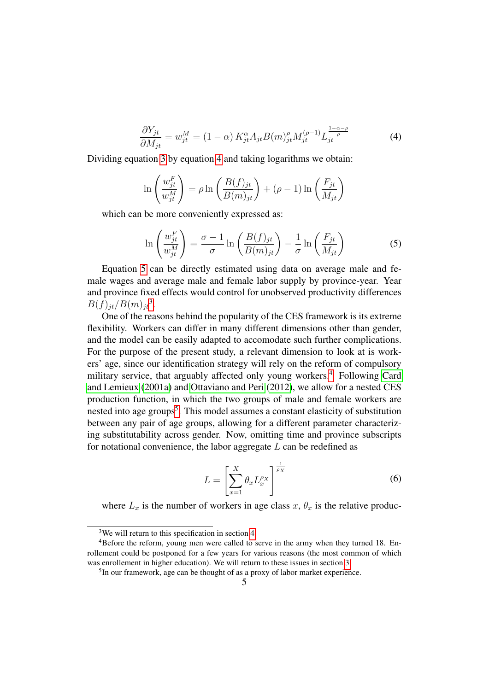<span id="page-4-0"></span>
$$
\frac{\partial Y_{jt}}{\partial M_{jt}} = w_{jt}^M = (1 - \alpha) K_{jt}^{\alpha} A_{jt} B(m)_{jt}^{\rho} M_{jt}^{(\rho - 1)} L_{jt}^{\frac{1 - \alpha - \rho}{\rho}}
$$
(4)

Dividing equation [3](#page-3-3) by equation [4](#page-4-0) and taking logarithms we obtain:

$$
\ln\left(\frac{w_{jt}^F}{w_{jt}^M}\right) = \rho \ln\left(\frac{B(f)_{jt}}{B(m)_{jt}}\right) + (\rho - 1)\ln\left(\frac{F_{jt}}{M_{jt}}\right)
$$

which can be more conveniently expressed as:

<span id="page-4-1"></span>
$$
\ln\left(\frac{w_{jt}^F}{w_{jt}^M}\right) = \frac{\sigma - 1}{\sigma} \ln\left(\frac{B(f)_{jt}}{B(m)_{jt}}\right) - \frac{1}{\sigma} \ln\left(\frac{F_{jt}}{M_{jt}}\right)
$$
(5)

Equation [5](#page-4-1) can be directly estimated using data on average male and female wages and average male and female labor supply by province-year. Year and province fixed effects would control for unobserved productivity differences  $B(f)_{jt}/B(m)_{jt}^3$  $B(f)_{jt}/B(m)_{jt}^3$ .

One of the reasons behind the popularity of the CES framework is its extreme flexibility. Workers can differ in many different dimensions other than gender, and the model can be easily adapted to accomodate such further complications. For the purpose of the present study, a relevant dimension to look at is workers' age, since our identification strategy will rely on the reform of compulsory military service, that arguably affected only young workers.<sup>[4](#page-4-3)</sup> Following [Card](#page-17-8) [and Lemieux](#page-17-8) [\(2001a\)](#page-17-8) and [Ottaviano and Peri](#page-18-13) [\(2012\)](#page-18-13), we allow for a nested CES production function, in which the two groups of male and female workers are nested into age groups<sup>[5](#page-4-4)</sup>. This model assumes a constant elasticity of substitution between any pair of age groups, allowing for a different parameter characterizing substitutability across gender. Now, omitting time and province subscripts for notational convenience, the labor aggregate  $L$  can be redefined as

<span id="page-4-5"></span>
$$
L = \left[\sum_{x=1}^{X} \theta_x L_x^{\rho_X}\right]^{\frac{1}{\rho_X}}
$$
(6)

where  $L_x$  is the number of workers in age class  $x, \theta_x$  is the relative produc-

<span id="page-4-3"></span><span id="page-4-2"></span><sup>&</sup>lt;sup>3</sup>We will return to this specification in section [4](#page-9-0)

<sup>4</sup>Before the reform, young men were called to serve in the army when they turned 18. Enrollement could be postponed for a few years for various reasons (the most common of which was enrollement in higher education). We will return to these issues in section [3.](#page-5-0)

<span id="page-4-4"></span><sup>&</sup>lt;sup>5</sup>In our framework, age can be thought of as a proxy of labor market experience.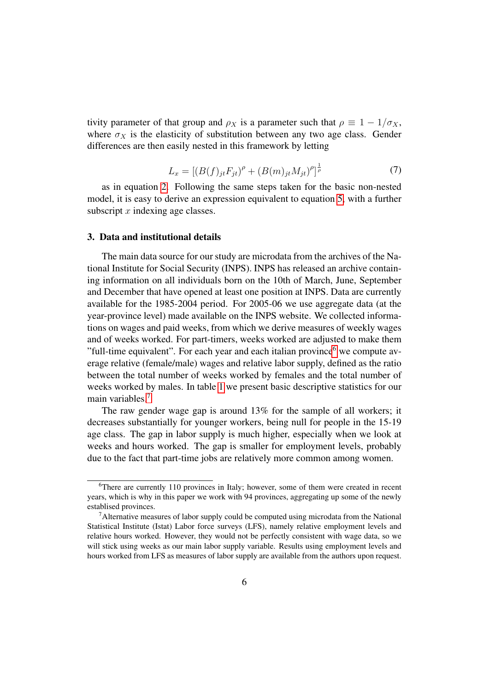tivity parameter of that group and  $\rho_X$  is a parameter such that  $\rho \equiv 1 - 1/\sigma_X$ , where  $\sigma_X$  is the elasticity of substitution between any two age class. Gender differences are then easily nested in this framework by letting

<span id="page-5-3"></span>
$$
L_x = [(B(f)_{jt}F_{jt})^{\rho} + (B(m)_{jt}M_{jt})^{\rho}]^{\frac{1}{\rho}}
$$
\n(7)

as in equation [2.](#page-3-2) Following the same steps taken for the basic non-nested model, it is easy to derive an expression equivalent to equation [5,](#page-4-1) with a further subscript  $x$  indexing age classes.

#### <span id="page-5-0"></span>3. Data and institutional details

The main data source for our study are microdata from the archives of the National Institute for Social Security (INPS). INPS has released an archive containing information on all individuals born on the 10th of March, June, September and December that have opened at least one position at INPS. Data are currently available for the 1985-2004 period. For 2005-06 we use aggregate data (at the year-province level) made available on the INPS website. We collected informations on wages and paid weeks, from which we derive measures of weekly wages and of weeks worked. For part-timers, weeks worked are adjusted to make them "full-time equivalent". For each year and each italian province $<sup>6</sup>$  $<sup>6</sup>$  $<sup>6</sup>$  we compute av-</sup> erage relative (female/male) wages and relative labor supply, defined as the ratio between the total number of weeks worked by females and the total number of weeks worked by males. In table [1](#page-6-0) we present basic descriptive statistics for our main variables.[7](#page-5-2)

The raw gender wage gap is around 13% for the sample of all workers; it decreases substantially for younger workers, being null for people in the 15-19 age class. The gap in labor supply is much higher, especially when we look at weeks and hours worked. The gap is smaller for employment levels, probably due to the fact that part-time jobs are relatively more common among women.

<span id="page-5-1"></span><sup>6</sup>There are currently 110 provinces in Italy; however, some of them were created in recent years, which is why in this paper we work with 94 provinces, aggregating up some of the newly establised provinces.

<span id="page-5-2"></span> $<sup>7</sup>$ Alternative measures of labor supply could be computed using microdata from the National</sup> Statistical Institute (Istat) Labor force surveys (LFS), namely relative employment levels and relative hours worked. However, they would not be perfectly consistent with wage data, so we will stick using weeks as our main labor supply variable. Results using employment levels and hours worked from LFS as measures of labor supply are available from the authors upon request.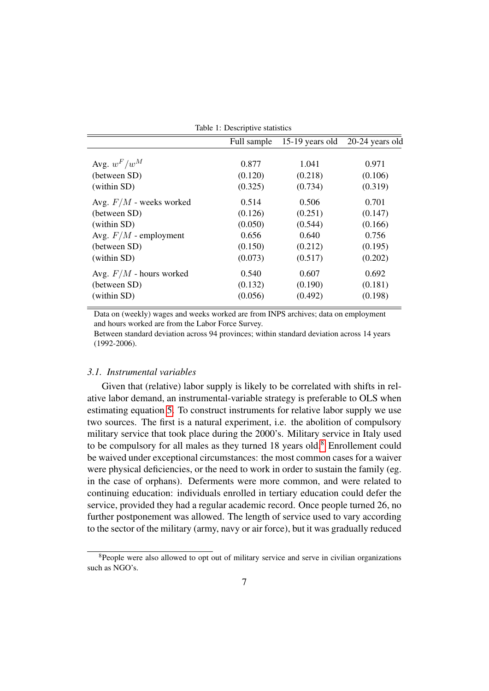| 0.877<br>(0.120)<br>(0.325) | 1.041<br>(0.218) | 0.971<br>(0.106) |
|-----------------------------|------------------|------------------|
|                             |                  |                  |
|                             |                  |                  |
|                             |                  |                  |
|                             | (0.734)          | (0.319)          |
| 0.514                       | 0.506            | 0.701            |
| (0.126)                     | (0.251)          | (0.147)          |
| (0.050)                     | (0.544)          | (0.166)          |
| 0.656                       | 0.640            | 0.756            |
| (0.150)                     | (0.212)          | (0.195)          |
| (0.073)                     | (0.517)          | (0.202)          |
| 0.540                       | 0.607            | 0.692            |
| (0.132)                     | (0.190)          | (0.181)          |
| (0.056)                     | (0.492)          | (0.198)          |
|                             |                  |                  |

<span id="page-6-0"></span>Table 1: Descriptive statistics

Data on (weekly) wages and weeks worked are from INPS archives; data on employment and hours worked are from the Labor Force Survey.

Between standard deviation across 94 provinces; within standard deviation across 14 years (1992-2006).

# *3.1. Instrumental variables*

Given that (relative) labor supply is likely to be correlated with shifts in relative labor demand, an instrumental-variable strategy is preferable to OLS when estimating equation [5.](#page-4-1) To construct instruments for relative labor supply we use two sources. The first is a natural experiment, i.e. the abolition of compulsory military service that took place during the 2000's. Military service in Italy used to be compulsory for all males as they turned 1[8](#page-6-1) years old.<sup>8</sup> Enrollement could be waived under exceptional circumstances: the most common cases for a waiver were physical deficiencies, or the need to work in order to sustain the family (eg. in the case of orphans). Deferments were more common, and were related to continuing education: individuals enrolled in tertiary education could defer the service, provided they had a regular academic record. Once people turned 26, no further postponement was allowed. The length of service used to vary according to the sector of the military (army, navy or air force), but it was gradually reduced

<span id="page-6-1"></span><sup>&</sup>lt;sup>8</sup>People were also allowed to opt out of military service and serve in civilian organizations such as NGO's.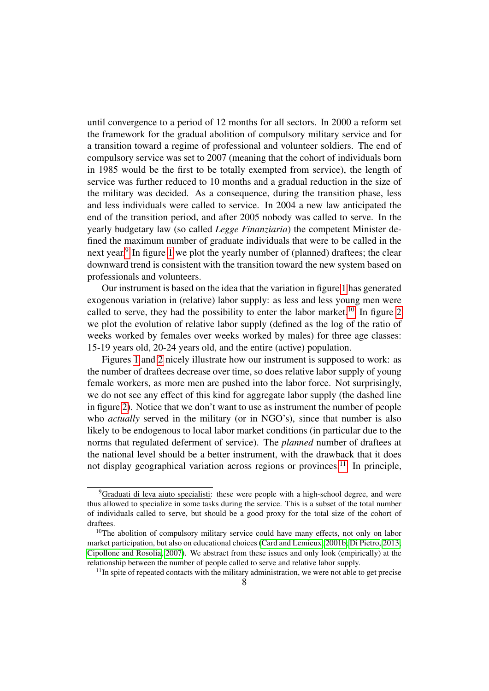until convergence to a period of 12 months for all sectors. In 2000 a reform set the framework for the gradual abolition of compulsory military service and for a transition toward a regime of professional and volunteer soldiers. The end of compulsory service was set to 2007 (meaning that the cohort of individuals born in 1985 would be the first to be totally exempted from service), the length of service was further reduced to 10 months and a gradual reduction in the size of the military was decided. As a consequence, during the transition phase, less and less individuals were called to service. In 2004 a new law anticipated the end of the transition period, and after 2005 nobody was called to serve. In the yearly budgetary law (so called *Legge Finanziaria*) the competent Minister defined the maximum number of graduate individuals that were to be called in the next year.<sup>[9](#page-7-0)</sup> In figure [1](#page-8-0) we plot the yearly number of (planned) draftees; the clear downward trend is consistent with the transition toward the new system based on professionals and volunteers.

Our instrument is based on the idea that the variation in figure [1](#page-8-0) has generated exogenous variation in (relative) labor supply: as less and less young men were called to serve, they had the possibility to enter the labor market.<sup>[10](#page-7-1)</sup> In figure [2](#page-9-1) we plot the evolution of relative labor supply (defined as the log of the ratio of weeks worked by females over weeks worked by males) for three age classes: 15-19 years old, 20-24 years old, and the entire (active) population.

Figures [1](#page-8-0) and [2](#page-9-1) nicely illustrate how our instrument is supposed to work: as the number of draftees decrease over time, so does relative labor supply of young female workers, as more men are pushed into the labor force. Not surprisingly, we do not see any effect of this kind for aggregate labor supply (the dashed line in figure [2\)](#page-9-1). Notice that we don't want to use as instrument the number of people who *actually* served in the military (or in NGO's), since that number is also likely to be endogenous to local labor market conditions (in particular due to the norms that regulated deferment of service). The *planned* number of draftees at the national level should be a better instrument, with the drawback that it does not display geographical variation across regions or provinces.<sup>[11](#page-7-2)</sup> In principle,

<span id="page-7-0"></span> $9$ Graduati di leva aiuto specialisti: these were people with a high-school degree, and were thus allowed to specialize in some tasks during the service. This is a subset of the total number of individuals called to serve, but should be a good proxy for the total size of the cohort of draftees.

<span id="page-7-1"></span> $10$ The abolition of compulsory military service could have many effects, not only on labor market participation, but also on educational choices [\(Card and Lemieux, 2001b;](#page-17-17) [Di Pietro, 2013;](#page-18-16) [Cipollone and Rosolia, 2007\)](#page-17-18). We abstract from these issues and only look (empirically) at the relationship between the number of people called to serve and relative labor supply.

<span id="page-7-2"></span> $11$ In spite of repeated contacts with the military administration, we were not able to get precise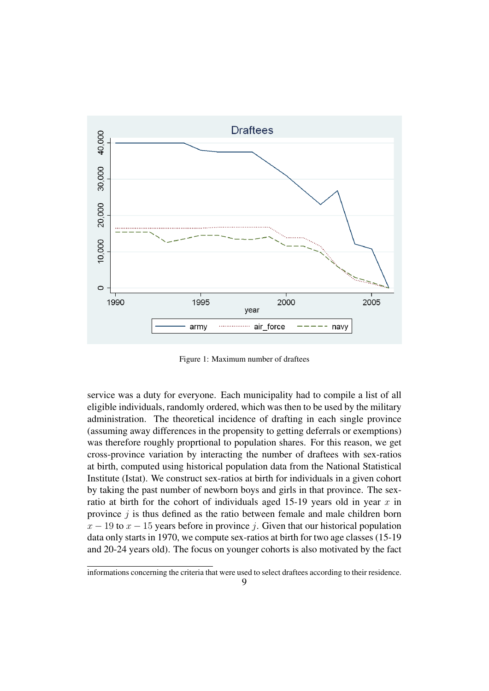

<span id="page-8-0"></span>Figure 1: Maximum number of draftees

service was a duty for everyone. Each municipality had to compile a list of all eligible individuals, randomly ordered, which was then to be used by the military administration. The theoretical incidence of drafting in each single province (assuming away differences in the propensity to getting deferrals or exemptions) was therefore roughly proprtional to population shares. For this reason, we get cross-province variation by interacting the number of draftees with sex-ratios at birth, computed using historical population data from the National Statistical Institute (Istat). We construct sex-ratios at birth for individuals in a given cohort by taking the past number of newborn boys and girls in that province. The sexratio at birth for the cohort of individuals aged 15-19 years old in year  $x$  in province  $j$  is thus defined as the ratio between female and male children born  $x - 19$  to  $x - 15$  years before in province j. Given that our historical population data only starts in 1970, we compute sex-ratios at birth for two age classes (15-19 and 20-24 years old). The focus on younger cohorts is also motivated by the fact

informations concerning the criteria that were used to select draftees according to their residence.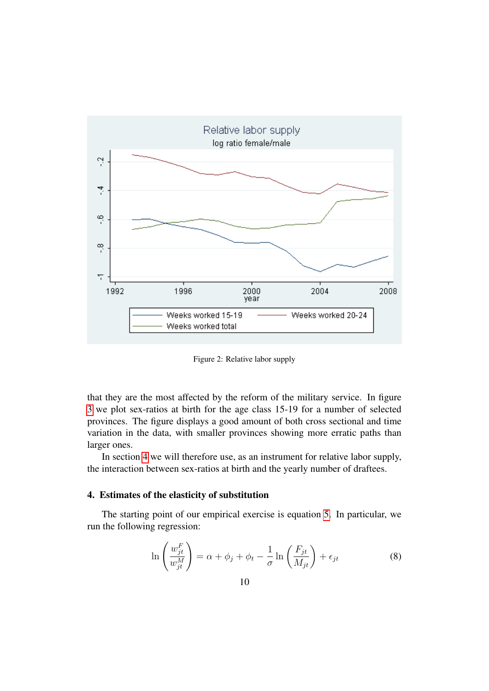

<span id="page-9-1"></span>Figure 2: Relative labor supply

that they are the most affected by the reform of the military service. In figure [3](#page-10-0) we plot sex-ratios at birth for the age class 15-19 for a number of selected provinces. The figure displays a good amount of both cross sectional and time variation in the data, with smaller provinces showing more erratic paths than larger ones.

In section [4](#page-9-0) we will therefore use, as an instrument for relative labor supply, the interaction between sex-ratios at birth and the yearly number of draftees.

## <span id="page-9-0"></span>4. Estimates of the elasticity of substitution

The starting point of our empirical exercise is equation [5.](#page-4-1) In particular, we run the following regression:

<span id="page-9-2"></span>
$$
\ln\left(\frac{w_{jt}^F}{w_{jt}^M}\right) = \alpha + \phi_j + \phi_t - \frac{1}{\sigma} \ln\left(\frac{F_{jt}}{M_{jt}}\right) + \epsilon_{jt}
$$
\n(8)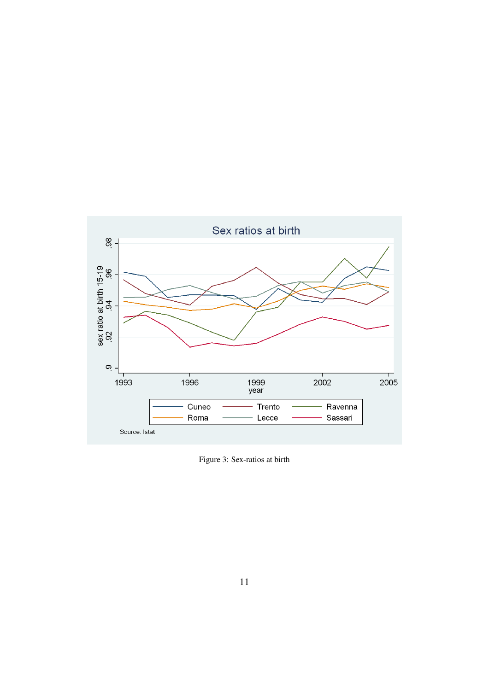

<span id="page-10-0"></span>Figure 3: Sex-ratios at birth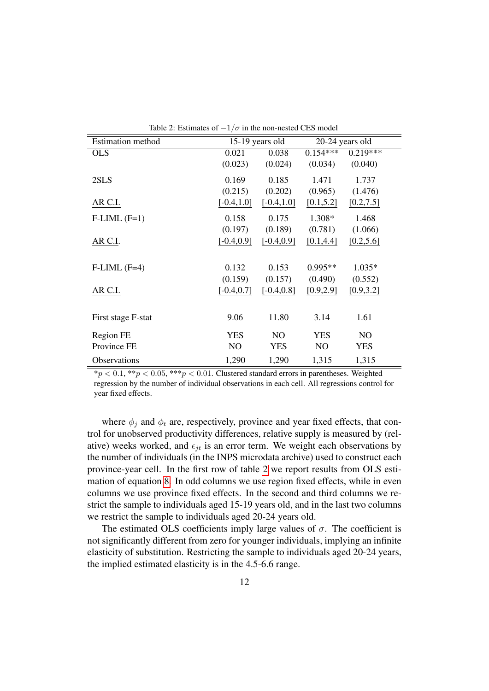| <b>Estimation</b> method | 15-19 years old |                | 20-24 years old |                |  |
|--------------------------|-----------------|----------------|-----------------|----------------|--|
| <b>OLS</b>               | 0.021           | 0.038          | $0.154***$      | $0.219***$     |  |
|                          | (0.023)         | (0.024)        | (0.034)         | (0.040)        |  |
| 2SLS                     | 0.169           | 0.185          | 1.471           | 1.737          |  |
|                          | (0.215)         | (0.202)        | (0.965)         | (1.476)        |  |
| AR C.I.                  | $[-0.4, 1.0]$   | $[-0.4, 1.0]$  | [0.1, 5.2]      | [0.2, 7.5]     |  |
| $F-LIML$ $(F=1)$         | 0.158           | 0.175          | 1.308*          | 1.468          |  |
|                          | (0.197)         | (0.189)        | (0.781)         | (1.066)        |  |
| AR C.I.                  | $[-0.4, 0.9]$   | $[-0.4, 0.9]$  | [0.1, 4.4]      | [0.2, 5.6]     |  |
|                          |                 |                |                 |                |  |
| $F-LIML$ $(F=4)$         | 0.132           | 0.153          | $0.995**$       | $1.035*$       |  |
|                          | (0.159)         | (0.157)        | (0.490)         | (0.552)        |  |
| AR C.I.                  | $[-0.4, 0.7]$   | $[-0.4, 0.8]$  | [0.9, 2.9]      | [0.9, 3.2]     |  |
|                          |                 |                |                 |                |  |
| First stage F-stat       | 9.06            | 11.80          | 3.14            | 1.61           |  |
| Region FE                | <b>YES</b>      | N <sub>O</sub> | <b>YES</b>      | N <sub>O</sub> |  |
| Province FE              | N <sub>O</sub>  | <b>YES</b>     | NO              | <b>YES</b>     |  |
| Observations             | 1,290           | 1,290          | 1,315           | 1,315          |  |

<span id="page-11-0"></span>Table 2: Estimates of  $-1/\sigma$  in the non-nested CES model

 $*p < 0.1, **p < 0.05, ***p < 0.01$ . Clustered standard errors in parentheses. Weighted regression by the number of individual observations in each cell. All regressions control for year fixed effects.

where  $\phi_i$  and  $\phi_t$  are, respectively, province and year fixed effects, that control for unobserved productivity differences, relative supply is measured by (relative) weeks worked, and  $\epsilon_{it}$  is an error term. We weight each observations by the number of individuals (in the INPS microdata archive) used to construct each province-year cell. In the first row of table [2](#page-11-0) we report results from OLS estimation of equation [8.](#page-9-2) In odd columns we use region fixed effects, while in even columns we use province fixed effects. In the second and third columns we restrict the sample to individuals aged 15-19 years old, and in the last two columns we restrict the sample to individuals aged 20-24 years old.

The estimated OLS coefficients imply large values of  $\sigma$ . The coefficient is not significantly different from zero for younger individuals, implying an infinite elasticity of substitution. Restricting the sample to individuals aged 20-24 years, the implied estimated elasticity is in the 4.5-6.6 range.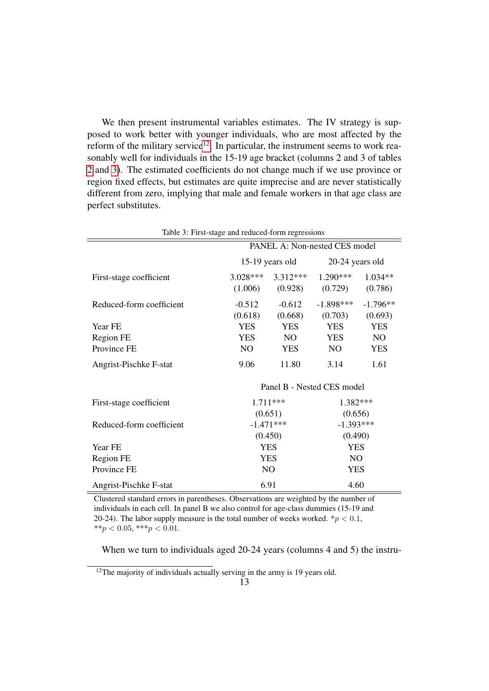We then present instrumental variables estimates. The IV strategy is supposed to work better with younger individuals, who are most affected by the reform of the military service<sup>[12](#page-12-0)</sup>. In particular, the instrument seems to work reasonably well for individuals in the 15-19 age bracket (columns 2 and 3 of tables [2](#page-11-0) and [3\)](#page-12-1). The estimated coefficients do not change much if we use province or region fixed effects, but estimates are quite imprecise and are never statistically different from zero, implying that male and female workers in that age class are perfect substitutes.

<span id="page-12-1"></span>

| Table 3: First-stage and reduced-form regressions |                               |            |                 |                |
|---------------------------------------------------|-------------------------------|------------|-----------------|----------------|
|                                                   | PANEL A: Non-nested CES model |            |                 |                |
|                                                   | $15-19$ years old             |            | 20-24 years old |                |
| First-stage coefficient                           | $3.028***$                    | $3.312***$ | $1.290***$      | $1.034**$      |
|                                                   | (1.006)                       | (0.928)    | (0.729)         | (0.786)        |
| Reduced-form coefficient                          | $-0.512$                      | $-0.612$   | $-1.898***$     | $-1.796**$     |
|                                                   | (0.618)                       | (0.668)    | (0.703)         | (0.693)        |
| Year FE                                           | <b>YES</b>                    | <b>YES</b> | <b>YES</b>      | <b>YES</b>     |
| Region FE                                         | <b>YES</b>                    | NO.        | <b>YES</b>      | N <sub>O</sub> |
| Province FE                                       | NO.                           | <b>YES</b> | NO              | <b>YES</b>     |
| Angrist-Pischke F-stat                            | 9.06                          | 11.80      | 3.14            | 1.61           |
|                                                   | Panel B - Nested CES model    |            |                 |                |
| First-stage coefficient                           | $1.711***$                    |            | 1.382***        |                |
|                                                   | (0.651)                       |            | (0.656)         |                |
| Reduced-form coefficient                          | $-1.471***$                   |            | $-1.393***$     |                |
|                                                   | (0.450)                       |            | (0.490)         |                |
| Year FE                                           | <b>YES</b>                    |            | <b>YES</b>      |                |
| Region FE                                         | <b>YES</b>                    |            | N <sub>O</sub>  |                |
| Province FE                                       | NO                            |            | <b>YES</b>      |                |
| Angrist-Pischke F-stat                            | 6.91                          |            | 4.60            |                |

Clustered standard errors in parentheses. Observations are weighted by the number of individuals in each cell. In panel B we also control for age-class dummies (15-19 and 20-24). The labor supply measure is the total number of weeks worked.  $\sqrt[k]{p} < 0.1$ , \*\*p < 0.05, \*\*\*p < 0.01.

When we turn to individuals aged 20-24 years (columns 4 and 5) the instru-

<span id="page-12-0"></span> $12$ The majority of individuals actually serving in the army is 19 years old.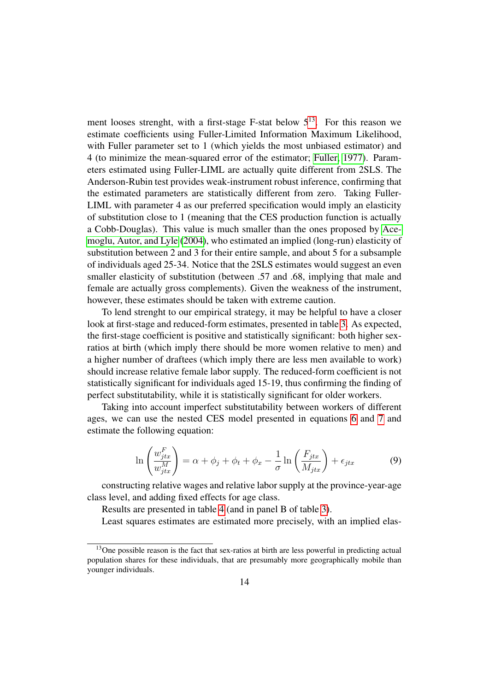ment looses strenght, with a first-stage F-stat below  $5<sup>13</sup>$  $5<sup>13</sup>$  $5<sup>13</sup>$ . For this reason we estimate coefficients using Fuller-Limited Information Maximum Likelihood, with Fuller parameter set to 1 (which yields the most unbiased estimator) and 4 (to minimize the mean-squared error of the estimator; [Fuller, 1977\)](#page-18-17). Parameters estimated using Fuller-LIML are actually quite different from 2SLS. The Anderson-Rubin test provides weak-instrument robust inference, confirming that the estimated parameters are statistically different from zero. Taking Fuller-LIML with parameter 4 as our preferred specification would imply an elasticity of substitution close to 1 (meaning that the CES production function is actually a Cobb-Douglas). This value is much smaller than the ones proposed by [Ace](#page-16-5)[moglu, Autor, and Lyle](#page-16-5) [\(2004\)](#page-16-5), who estimated an implied (long-run) elasticity of substitution between 2 and 3 for their entire sample, and about 5 for a subsample of individuals aged 25-34. Notice that the 2SLS estimates would suggest an even smaller elasticity of substitution (between .57 and .68, implying that male and female are actually gross complements). Given the weakness of the instrument, however, these estimates should be taken with extreme caution.

To lend strenght to our empirical strategy, it may be helpful to have a closer look at first-stage and reduced-form estimates, presented in table [3.](#page-12-1) As expected, the first-stage coefficient is positive and statistically significant: both higher sexratios at birth (which imply there should be more women relative to men) and a higher number of draftees (which imply there are less men available to work) should increase relative female labor supply. The reduced-form coefficient is not statistically significant for individuals aged 15-19, thus confirming the finding of perfect substitutability, while it is statistically significant for older workers.

Taking into account imperfect substitutability between workers of different ages, we can use the nested CES model presented in equations [6](#page-4-5) and [7](#page-5-3) and estimate the following equation:

$$
\ln\left(\frac{w_{jtx}^F}{w_{jtx}^M}\right) = \alpha + \phi_j + \phi_t + \phi_x - \frac{1}{\sigma} \ln\left(\frac{F_{jtx}}{M_{jtx}}\right) + \epsilon_{jtx} \tag{9}
$$

constructing relative wages and relative labor supply at the province-year-age class level, and adding fixed effects for age class.

Results are presented in table [4](#page-14-0) (and in panel B of table [3\)](#page-12-1).

Least squares estimates are estimated more precisely, with an implied elas-

<span id="page-13-0"></span><sup>&</sup>lt;sup>13</sup>One possible reason is the fact that sex-ratios at birth are less powerful in predicting actual population shares for these individuals, that are presumably more geographically mobile than younger individuals.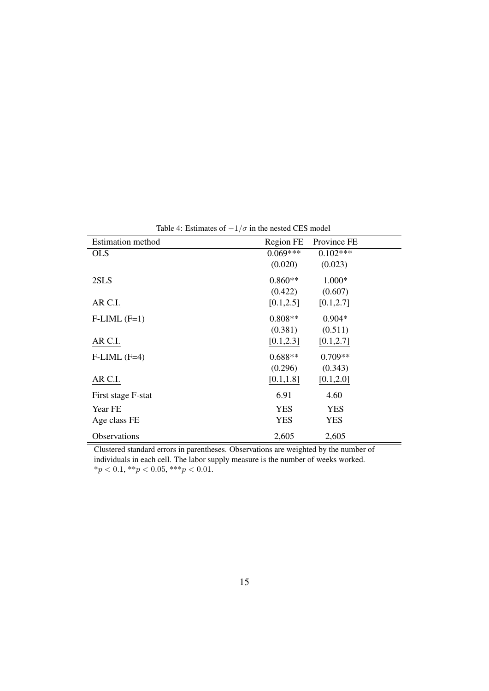<span id="page-14-0"></span>

| <b>Estimation</b> method | Region FE  | Province FE |
|--------------------------|------------|-------------|
| <b>OLS</b>               | $0.069***$ | $0.102***$  |
|                          | (0.020)    | (0.023)     |
| 2SLS                     | $0.860**$  | $1.000*$    |
|                          | (0.422)    | (0.607)     |
| AR C.I.                  | [0.1, 2.5] | [0.1, 2.7]  |
| $F-LIML$ $(F=1)$         | $0.808**$  | $0.904*$    |
|                          | (0.381)    | (0.511)     |
| AR C.I.                  | [0.1, 2.3] | [0.1, 2.7]  |
| $F-LIML$ $(F=4)$         | $0.688**$  | $0.709**$   |
|                          | (0.296)    | (0.343)     |
| AR C.I.                  | [0.1, 1.8] | [0.1, 2.0]  |
| First stage F-stat       | 6.91       | 4.60        |
| Year FE                  | <b>YES</b> | <b>YES</b>  |
| Age class FE             | <b>YES</b> | <b>YES</b>  |
| Observations             | 2,605      | 2,605       |

Clustered standard errors in parentheses. Observations are weighted by the number of individuals in each cell. The labor supply measure is the number of weeks worked.  $*_{p}$  < 0.1,  $*_{p}$  < 0.05,  $*_{p}$  < 0.01.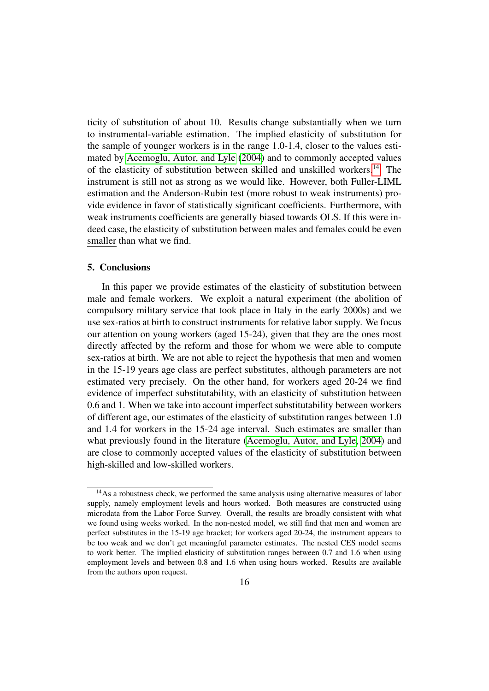ticity of substitution of about 10. Results change substantially when we turn to instrumental-variable estimation. The implied elasticity of substitution for the sample of younger workers is in the range 1.0-1.4, closer to the values estimated by [Acemoglu, Autor, and Lyle](#page-16-5) [\(2004\)](#page-16-5) and to commonly accepted values of the elasticity of substitution between skilled and unskilled workers.[14](#page-15-1) The instrument is still not as strong as we would like. However, both Fuller-LIML estimation and the Anderson-Rubin test (more robust to weak instruments) provide evidence in favor of statistically significant coefficients. Furthermore, with weak instruments coefficients are generally biased towards OLS. If this were indeed case, the elasticity of substitution between males and females could be even smaller than what we find.

## <span id="page-15-0"></span>5. Conclusions

In this paper we provide estimates of the elasticity of substitution between male and female workers. We exploit a natural experiment (the abolition of compulsory military service that took place in Italy in the early 2000s) and we use sex-ratios at birth to construct instruments for relative labor supply. We focus our attention on young workers (aged 15-24), given that they are the ones most directly affected by the reform and those for whom we were able to compute sex-ratios at birth. We are not able to reject the hypothesis that men and women in the 15-19 years age class are perfect substitutes, although parameters are not estimated very precisely. On the other hand, for workers aged 20-24 we find evidence of imperfect substitutability, with an elasticity of substitution between 0.6 and 1. When we take into account imperfect substitutability between workers of different age, our estimates of the elasticity of substitution ranges between 1.0 and 1.4 for workers in the 15-24 age interval. Such estimates are smaller than what previously found in the literature [\(Acemoglu, Autor, and Lyle, 2004\)](#page-16-5) and are close to commonly accepted values of the elasticity of substitution between high-skilled and low-skilled workers.

<span id="page-15-1"></span><sup>&</sup>lt;sup>14</sup>As a robustness check, we performed the same analysis using alternative measures of labor supply, namely employment levels and hours worked. Both measures are constructed using microdata from the Labor Force Survey. Overall, the results are broadly consistent with what we found using weeks worked. In the non-nested model, we still find that men and women are perfect substitutes in the 15-19 age bracket; for workers aged 20-24, the instrument appears to be too weak and we don't get meaningful parameter estimates. The nested CES model seems to work better. The implied elasticity of substitution ranges between 0.7 and 1.6 when using employment levels and between 0.8 and 1.6 when using hours worked. Results are available from the authors upon request.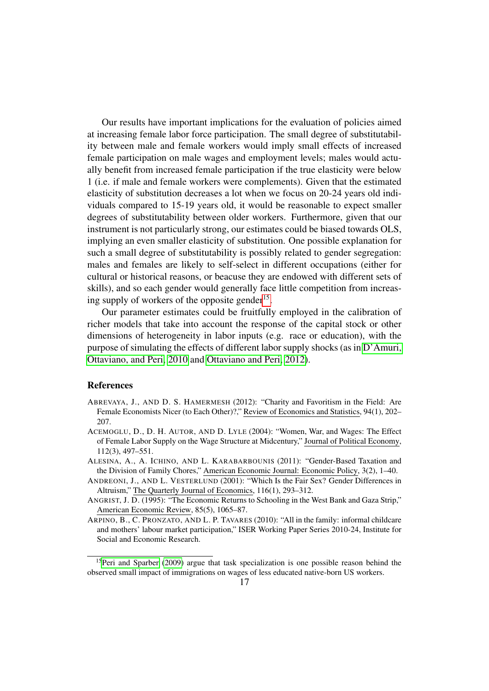Our results have important implications for the evaluation of policies aimed at increasing female labor force participation. The small degree of substitutability between male and female workers would imply small effects of increased female participation on male wages and employment levels; males would actually benefit from increased female participation if the true elasticity were below 1 (i.e. if male and female workers were complements). Given that the estimated elasticity of substitution decreases a lot when we focus on 20-24 years old individuals compared to 15-19 years old, it would be reasonable to expect smaller degrees of substitutability between older workers. Furthermore, given that our instrument is not particularly strong, our estimates could be biased towards OLS, implying an even smaller elasticity of substitution. One possible explanation for such a small degree of substitutability is possibly related to gender segregation: males and females are likely to self-select in different occupations (either for cultural or historical reasons, or beacuse they are endowed with different sets of skills), and so each gender would generally face little competition from increas-ing supply of workers of the opposite gender<sup>[15](#page-16-6)</sup>.

Our parameter estimates could be fruitfully employed in the calibration of richer models that take into account the response of the capital stock or other dimensions of heterogeneity in labor inputs (e.g. race or education), with the purpose of simulating the effects of different labor supply shocks (as in [D'Amuri,](#page-17-15) [Ottaviano, and Peri, 2010](#page-17-15) and [Ottaviano and Peri, 2012\)](#page-18-13).

#### **References**

- <span id="page-16-3"></span>ABREVAYA, J., AND D. S. HAMERMESH (2012): "Charity and Favoritism in the Field: Are Female Economists Nicer (to Each Other)?," Review of Economics and Statistics, 94(1), 202– 207.
- <span id="page-16-5"></span>ACEMOGLU, D., D. H. AUTOR, AND D. LYLE (2004): "Women, War, and Wages: The Effect of Female Labor Supply on the Wage Structure at Midcentury," Journal of Political Economy, 112(3), 497–551.
- <span id="page-16-0"></span>ALESINA, A., A. ICHINO, AND L. KARABARBOUNIS (2011): "Gender-Based Taxation and the Division of Family Chores," American Economic Journal: Economic Policy, 3(2), 1–40.
- <span id="page-16-2"></span>ANDREONI, J., AND L. VESTERLUND (2001): "Which Is the Fair Sex? Gender Differences in Altruism," The Quarterly Journal of Economics, 116(1), 293–312.
- <span id="page-16-4"></span>ANGRIST, J. D. (1995): "The Economic Returns to Schooling in the West Bank and Gaza Strip," American Economic Review, 85(5), 1065–87.
- <span id="page-16-1"></span>ARPINO, B., C. PRONZATO, AND L. P. TAVARES (2010): "All in the family: informal childcare and mothers' labour market participation," ISER Working Paper Series 2010-24, Institute for Social and Economic Research.

<span id="page-16-6"></span><sup>&</sup>lt;sup>15</sup>[Peri and Sparber](#page-18-14) [\(2009\)](#page-18-14) argue that task specialization is one possible reason behind the observed small impact of immigrations on wages of less educated native-born US workers.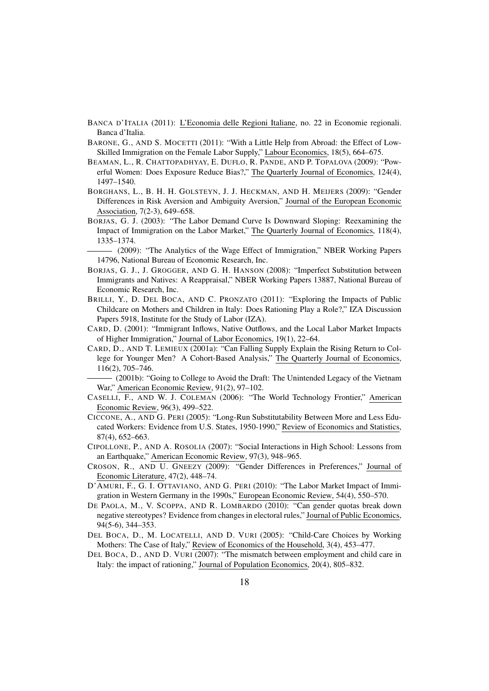- <span id="page-17-0"></span>BANCA D'ITALIA (2011): L'Economia delle Regioni Italiane, no. 22 in Economie regionali. Banca d'Italia.
- <span id="page-17-16"></span>BARONE, G., AND S. MOCETTI (2011): "With a Little Help from Abroad: the Effect of Low-Skilled Immigration on the Female Labor Supply," Labour Economics, 18(5), 664–675.
- <span id="page-17-4"></span>BEAMAN, L., R. CHATTOPADHYAY, E. DUFLO, R. PANDE, AND P. TOPALOVA (2009): "Powerful Women: Does Exposure Reduce Bias?," The Quarterly Journal of Economics, 124(4), 1497–1540.
- <span id="page-17-6"></span>BORGHANS, L., B. H. H. GOLSTEYN, J. J. HECKMAN, AND H. MEIJERS (2009): "Gender Differences in Risk Aversion and Ambiguity Aversion," Journal of the European Economic Association, 7(2-3), 649–658.
- <span id="page-17-12"></span>BORJAS, G. J. (2003): "The Labor Demand Curve Is Downward Sloping: Reexamining the Impact of Immigration on the Labor Market," The Quarterly Journal of Economics, 118(4), 1335–1374.
	- (2009): "The Analytics of the Wage Effect of Immigration," NBER Working Papers 14796, National Bureau of Economic Research, Inc.
- <span id="page-17-14"></span><span id="page-17-13"></span>BORJAS, G. J., J. GROGGER, AND G. H. HANSON (2008): "Imperfect Substitution between Immigrants and Natives: A Reappraisal," NBER Working Papers 13887, National Bureau of Economic Research, Inc.
- <span id="page-17-3"></span>BRILLI, Y., D. DEL BOCA, AND C. PRONZATO (2011): "Exploring the Impacts of Public Childcare on Mothers and Children in Italy: Does Rationing Play a Role?," IZA Discussion Papers 5918, Institute for the Study of Labor (IZA).
- <span id="page-17-11"></span>CARD, D. (2001): "Immigrant Inflows, Native Outflows, and the Local Labor Market Impacts of Higher Immigration," Journal of Labor Economics, 19(1), 22–64.
- <span id="page-17-8"></span>CARD, D., AND T. LEMIEUX (2001a): "Can Falling Supply Explain the Rising Return to College for Younger Men? A Cohort-Based Analysis," The Quarterly Journal of Economics, 116(2), 705–746.
- <span id="page-17-17"></span>(2001b): "Going to College to Avoid the Draft: The Unintended Legacy of the Vietnam War," American Economic Review, 91(2), 97–102.
- <span id="page-17-10"></span>CASELLI, F., AND W. J. COLEMAN (2006): "The World Technology Frontier," American Economic Review, 96(3), 499–522.
- <span id="page-17-9"></span>CICCONE, A., AND G. PERI (2005): "Long-Run Substitutability Between More and Less Educated Workers: Evidence from U.S. States, 1950-1990," Review of Economics and Statistics, 87(4), 652–663.
- <span id="page-17-18"></span>CIPOLLONE, P., AND A. ROSOLIA (2007): "Social Interactions in High School: Lessons from an Earthquake," American Economic Review, 97(3), 948–965.
- <span id="page-17-7"></span>CROSON, R., AND U. GNEEZY (2009): "Gender Differences in Preferences," Journal of Economic Literature, 47(2), 448–74.
- <span id="page-17-15"></span>D'AMURI, F., G. I. OTTAVIANO, AND G. PERI (2010): "The Labor Market Impact of Immigration in Western Germany in the 1990s," European Economic Review, 54(4), 550–570.
- <span id="page-17-5"></span>DE PAOLA, M., V. SCOPPA, AND R. LOMBARDO (2010): "Can gender quotas break down negative stereotypes? Evidence from changes in electoral rules," Journal of Public Economics, 94(5-6), 344–353.
- <span id="page-17-1"></span>DEL BOCA, D., M. LOCATELLI, AND D. VURI (2005): "Child-Care Choices by Working Mothers: The Case of Italy," Review of Economics of the Household, 3(4), 453–477.
- <span id="page-17-2"></span>DEL BOCA, D., AND D. VURI (2007): "The mismatch between employment and child care in Italy: the impact of rationing," Journal of Population Economics, 20(4), 805–832.